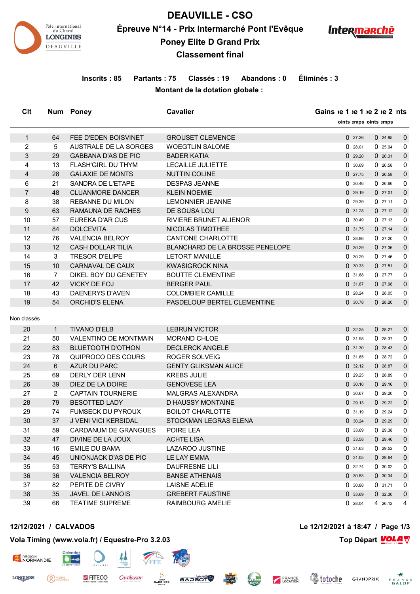

**DEAUVILLE - CSO Épreuve N°14 - Prix Intermarché Pont l'Evêque**



# **Poney Elite D Grand Prix**

## **Classement final**

## **Inscrits : 85 Partants : 75 Classés : 19 Abandons : 0 Éliminés : 3 Montant de la dotation globale :**

**Clt Num** Poney **Cavalier Cavalier Cavalier Called 1 Called 1 Eta** 

|                |                |                              |                                        | 'oints emps 'oints emps |         |             |
|----------------|----------------|------------------------------|----------------------------------------|-------------------------|---------|-------------|
| $\mathbf{1}$   | 64             | FEE D'EDEN BOISVINET         | <b>GROUSET CLEMENCE</b>                | 027.26                  | 024.95  | $\mathbf 0$ |
| 2              | 5              | <b>AUSTRALE DE LA SORGES</b> | <b>WOEGTLIN SALOME</b>                 | 028.01                  | 025.94  | 0           |
| 3              | 29             | <b>GABBANA D'AS DE PIC</b>   | <b>BADER KATIA</b>                     | 029.20                  | 026.31  | $\mathbf 0$ |
| 4              | 13             | <b>FLASH'GIRL DU THYM</b>    | <b>LECAILLE JULIETTE</b>               | 0.30.69                 | 026.58  | 0           |
| $\overline{4}$ | 28             | <b>GALAXIE DE MONTS</b>      | <b>NUTTIN COLINE</b>                   | 027.75                  | 0.26.58 | $\mathbf 0$ |
| 6              | 21             | SANDRA DE L'ETAPE            | <b>DESPAS JEANNE</b>                   | 0.30.46                 | 026.66  | 0           |
| $\overline{7}$ | 48             | <b>CLUANMORE DANCER</b>      | <b>KLEIN NOEMIE</b>                    | 0.29.19                 | 027.01  | $\mathbf 0$ |
| 8              | 38             | REBANNE DU MILON             | <b>LEMONNIER JEANNE</b>                | 029.39                  | 027.11  | 0           |
| 9              | 63             | <b>RAMAUNA DE RACHES</b>     | DE SOUSA LOU                           | 031.28                  | 027.12  | $\mathbf 0$ |
| 10             | 57             | EUREKA D'AR CUS              | <b>RIVIERE BRUNET ALIENOR</b>          | 0.30.49                 | 027.13  | 0           |
| 11             | 84             | <b>DOLCEVITA</b>             | NICOLAS TIMOTHEE                       | 0.31.75                 | 027.14  | $\mathbf 0$ |
| 12             | 76             | <b>VALENCIA BELROY</b>       | <b>CANTONE CHARLOTTE</b>               | 0.28.86                 | 027.20  | 0           |
| 13             | 12             | <b>CASH DOLLAR TILIA</b>     | <b>BLANCHARD DE LA BROSSE PENELOPE</b> | 0.30.29                 | 027.36  | $\mathbf 0$ |
| 14             | 3              | <b>TRESOR D'ELIPE</b>        | <b>LETORT MANILLE</b>                  | 030.29                  | 027.46  | 0           |
| 15             | 10             | CARNAVAL DE CAUX             | <b>KWASIGROCK NINA</b>                 | 0.30.33                 | 027.51  | $\mathbf 0$ |
| 16             | $\overline{7}$ | DIKEL BOY DU GENETEY         | <b>BOUTTE CLEMENTINE</b>               | 0.31.68                 | 027.77  | 0           |
| 17             | 42             | <b>VICKY DE FOJ</b>          | <b>BERGER PAUL</b>                     | 031.87                  | 027.98  | $\mathbf 0$ |
| 18             | 43             | <b>DAENERYS D'AVEN</b>       | <b>COLOMBIER CAMILLE</b>               | 028.24                  | 028.05  | 0           |
| 19             | 54             | <b>ORCHID'S ELENA</b>        | PASDELOUP BERTEL CLEMENTINE            | 0.30.78                 | 028.20  | $\mathbf 0$ |
| Non classés    |                |                              |                                        |                         |         |             |
| 20             | $\mathbf{1}$   | <b>TIVANO D'ELB</b>          | <b>LEBRUN VICTOR</b>                   | 032.25                  | 028.27  | $\mathbf 0$ |
| 21             | 50             | <b>VALENTINO DE MONTMAIN</b> | <b>MORAND CHLOE</b>                    | 0.31.98                 | 028.37  | 0           |
| 22             | 83             | <b>BLUETOOTH D'OTHON</b>     | <b>DECLERCK ANGELE</b>                 | 031.30                  | 028.43  | $\mathbf 0$ |
| 23             | 78             | QUIPROCO DES COURS           | ROGER SOLVEIG                          | 031.65                  | 028.72  | 0           |
| 24             | 6              | <b>AZUR DU PARC</b>          | <b>GENTY GLIKSMAN ALICE</b>            | 0.32.12                 | 028.87  | $\mathbf 0$ |
| 25             | 69             | DERLY DER LENN               | <b>KREBS JULIE</b>                     | 0.29.25                 | 0.28.89 | 0           |
| 26             | 39             | DIEZ DE LA DOIRE             | <b>GENOVESE LEA</b>                    | 0.30.10                 | 029.16  | $\mathbf 0$ |
| 27             | $\overline{2}$ | <b>CAPTAIN TOURNERIE</b>     | <b>MALGRAS ALEXANDRA</b>               | 0.30.67                 | 0.29.20 | 0           |
| 28             | 79             | <b>BESOTTED LADY</b>         | D HAUSSY MONTAINE                      | 029.13                  | 029.22  | $\mathbf 0$ |
| 29             | 74             | <b>FUMSECK DU PYROUX</b>     | <b>BOILOT CHARLOTTE</b>                | 0.31.19                 | 0.29.24 | 0           |
| 30             | 37             | J VENI VICI KERSIDAL         | STOCKMAN LEGRAS ELENA                  | 0.30.24                 | 0.29.29 | $\mathbf 0$ |
| 31             | 59             | <b>CARDANUM DE GRANGUES</b>  | POIRE LEA                              | 033.69                  | 029.38  | 0           |
| 32             | 47             | DIVINE DE LA JOUX            | <b>ACHTE LISA</b>                      | 033.58                  | 0.29.46 | $\mathbf 0$ |
| 33             | 16             | EMILE DU BAMA                | LAZAROO JUSTINE                        | 031.63                  | 029.52  | 0           |
| 34             | 45             | UNIONJACK D'AS DE PIC        | LE LAY EMMA                            | 0.31.05                 | 029.64  | $\mathbf 0$ |
| 35             | 53             | <b>TERRY'S BALLINA</b>       | <b>DAUFRESNE LILI</b>                  | 0.32.74                 | 0.30.02 | 0           |
| 36             | 36             | <b>VALENCIA BELROY</b>       | <b>BANSE ATHENAIS</b>                  | 0.30.53                 | 0.30.34 | $\mathbf 0$ |
| 37             | 82             | PEPITE DE CIVRY              | LAISNE ADELIE                          | 0.30.88                 | 0.31.71 | 0           |
| 38             | 35             | <b>JAVEL DE LANNOIS</b>      | <b>GREBERT FAUSTINE</b>                | 033.69                  | 032.30  | $\mathbf 0$ |
| 39             | 66             | <b>TEATIME SUPREME</b>       | RAIMBOURG AMELIE                       | 0.28.04                 | 4 26.12 | 4           |

**Prossas** 

**FOUIP** 

**12/12/2021 / CALVADOS Le 12/12/2021 à 18:47 / Page 1/3**

#### **Vola Timing (www.vola.fr) / Equestre-Pro 3.2.03 Top Départ VOLA**

**FITECO** 

Cavalassur

**BARRIERE** 

RÉGION<br>NORMANDIE

<sup>PIERRE</sup>

**LONGINES** 





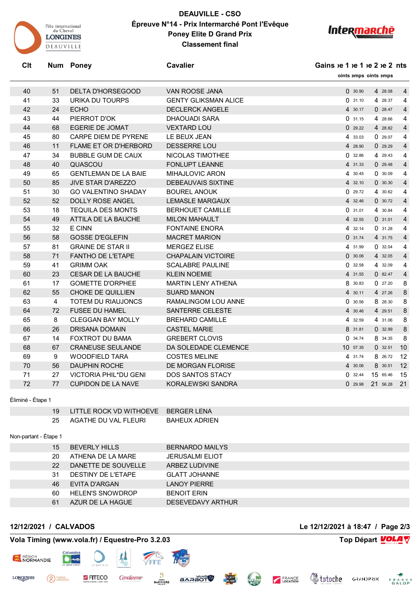

## **DEAUVILLE - CSO Épreuve N°14 - Prix Intermarché Pont l'Evêque Poney Elite D Grand Prix Classement final**



**Clt Num Poney Cavalier Cavalier Cavalier Gains**  $ie 1$   $ie 2$   $ie 2$  ints

|                   |                       |                                     |                             | 'oints emps 'oints emps          |                 |  |
|-------------------|-----------------------|-------------------------------------|-----------------------------|----------------------------------|-----------------|--|
| 40                | 51                    | <b>DELTA D'HORSEGOOD</b>            | <b>VAN ROOSE JANA</b>       | 0.30.90<br>4 28.08               | $\overline{4}$  |  |
| 41                | 33                    | URIKA DU TOURPS                     | <b>GENTY GLIKSMAN ALICE</b> | 031.10<br>4 28.37                | 4               |  |
| 42                | 24                    | <b>ECHO</b>                         | <b>DECLERCK ANGELE</b>      | 0.28.47<br>4 30.17               | $\overline{4}$  |  |
| 43                | 44                    | PIERROT D'OK                        | <b>DHAOUADI SARA</b>        | 031.15<br>4 28.66                | 4               |  |
| 44                | 68                    | <b>EGERIE DE JOMAT</b>              | <b>VEXTARD LOU</b>          | 029.22<br>4 28.82                | $\overline{4}$  |  |
| 45                | 80                    | CARPE DIEM DE PYRENE                | LE BEUX JEAN                | 4 33.03<br>0.29.07               | 4               |  |
| 46                | 11                    | FLAME ET OR D'HERBORD               | DESSERRE LOU                | 4 28.90<br>029.29                | 4               |  |
| 47                | 34                    | <b>BUBBLE GUM DE CAUX</b>           | NICOLAS TIMOTHEE            | 32.86<br>4 29.43<br>0            | 4               |  |
| 48                | 40                    | QUASCOU                             | <b>FONLUPT LEANNE</b>       | 0.29.48<br>4 31.33               | $\overline{4}$  |  |
| 49                | 65                    | <b>GENTLEMAN DE LA BAIE</b>         | <b>MIHAJLOVIC ARON</b>      | 0.30.09<br>4 30.45               | 4               |  |
| 50                | 85                    | <b>JIVE STAR D'AREZZO</b>           | <b>DEBEAUVAIS SIXTINE</b>   | 0.30.30<br>4 32.10               | $\overline{4}$  |  |
| 51                | 30                    | <b>GO VALENTINO SHADAY</b>          | <b>BOUREL ANOUK</b>         | 029.72<br>4 30.62                | 4               |  |
| 52                | 52                    | <b>DOLLY ROSE ANGEL</b>             | <b>LEMASLE MARGAUX</b>      | 4 32.46<br>0.30.72               | $\overline{4}$  |  |
| 53                | 18                    | <b>TEQUILA DES MONTS</b>            | <b>BERHOUET CAMILLE</b>     | 0.31.01<br>4 30.84               | 4               |  |
| 54                | 49                    | ATTILA DE LA BAUCHE                 | <b>MILON MAHAULT</b>        | 4 32.55<br>0.31.01               | $\overline{4}$  |  |
| 55                | 32                    | E CINN                              | <b>FONTAINE ENORA</b>       | 4 32.14<br>031.28                | 4               |  |
| 56                | 58                    | <b>GOSSE D'EGLEFIN</b>              | <b>MACRET MARION</b>        | 031.74<br>4 31.75                | $\overline{4}$  |  |
| 57                | 81                    | <b>GRAINE DE STAR II</b>            | <b>MERGEZ ELISE</b>         | 4 31.99<br>0.32.04               | 4               |  |
| 58                | 71                    | <b>FANTHO DE L'ETAPE</b>            | <b>CHAPALAIN VICTOIRE</b>   | 0.30.06<br>4 32.05               | $\overline{4}$  |  |
| 59                | 41                    | <b>GRIMM OAK</b>                    | <b>SCALABRE PAULINE</b>     | 32.58<br>0<br>4 32.09            | 4               |  |
| 60                | 23                    | CESAR DE LA BAUCHE                  | <b>KLEIN NOEMIE</b>         | 082.47<br>4 31.55                | $\overline{4}$  |  |
| 61                | 17                    | <b>GOMETTE D'ORPHEE</b>             | <b>MARTIN LENY ATHENA</b>   | 8<br>30.83<br>027.20             | 8               |  |
| 62                | 55                    | <b>CHOKE DE QUILLIEN</b>            | <b>SUARD MANON</b>          | 4 30.11<br>4 27.26               | 8               |  |
| 63                | $\overline{4}$        | <b>TOTEM DU RIAUJONCS</b>           | RAMALINGOM LOU ANNE         | 0.30.56<br>8 28.30               | 8               |  |
| 64                | 72                    | <b>FUSEE DU HAMEL</b>               | SANTERRE CELESTE            | 4 29.51<br>4 30.46               | 8               |  |
| 65                | 8                     | <b>CLEGGAN BAY MOLLY</b>            | <b>BREHARD CAMILLE</b>      | 32.59<br>4 31.06<br>4            | 8               |  |
| 66                | 26                    | <b>DRISANA DOMAIN</b>               | <b>CASTEL MARIE</b>         | 8 31.81<br>032.99                | 8               |  |
| 67                | 14                    | <b>FOXTROT DU BAMA</b>              | <b>GREBERT CLOVIS</b>       | 0<br>34.74<br>8 34.35            | 8               |  |
| 68                | 67                    | <b>CRANEUSE SEULANDE</b>            | DA SOLEDADE CLEMENCE        | 10 57.35<br>0.32.51              | 10 <sup>°</sup> |  |
| 69                | 9                     | <b>WOODFIELD TARA</b>               | <b>COSTES MELINE</b>        | 8 26.72<br>4<br>31.74            | 12              |  |
| 70                | 56                    | <b>DAUPHIN ROCHE</b>                | DE MORGAN FLORISE           | 4 30.06<br>8 30.51               | 12              |  |
| 71                | 27                    | <b>VICTORIA PHIL*DU GENI</b>        | <b>DOS SANTOS STACY</b>     | 15 65.46<br>32.44<br>0           | 15              |  |
| 72                | 77                    | <b>CUPIDON DE LA NAVE</b>           | <b>KORALEWSKI SANDRA</b>    | 21 56.28<br>029.98               | 21              |  |
| Éliminé - Étape 1 |                       |                                     |                             |                                  |                 |  |
|                   | 19                    | LITTLE ROCK VD WITHOEVE BERGER LENA |                             |                                  |                 |  |
|                   | 25                    | AGATHE DU VAL FLEURI                | <b>BAHEUX ADRIEN</b>        |                                  |                 |  |
|                   | Non-partant - Étape 1 |                                     |                             |                                  |                 |  |
|                   | 15                    | <b>BEVERLY HILLS</b>                | <b>BERNARDO MAILYS</b>      |                                  |                 |  |
|                   | 20                    | ATHENA DE LA MARE                   | <b>JERUSALMI ELIOT</b>      |                                  |                 |  |
|                   | 22                    | DANETTE DE SOUVELLE                 | <b>ARBEZ LUDIVINE</b>       |                                  |                 |  |
|                   | 31                    | DESTINY DE L'ETAPE                  | <b>GLATT JOHANNE</b>        |                                  |                 |  |
|                   | 46                    | <b>EVITA D'ARGAN</b>                | <b>LANOY PIERRE</b>         |                                  |                 |  |
|                   | 60                    | <b>HELEN'S SNOWDROP</b>             | <b>BENOIT ERIN</b>          |                                  |                 |  |
|                   | 61                    | AZUR DE LA HAGUE                    | <b>DESEVEDAVY ARTHUR</b>    |                                  |                 |  |
|                   |                       |                                     |                             |                                  |                 |  |
|                   |                       | 12/12/2021 / CALVADOS               |                             | Le 12/12/2021 à 18:47 / Page 2/3 |                 |  |
|                   |                       |                                     |                             |                                  |                 |  |

#### **Vola Timing (www.vola.fr) / Equestre-Pro 3.2.03 Top Départ** Departed the Second View of Top Départ Departed Top Départ

FITECO

RÉGION<br>NORMANDIE

<sup>PIERRE</sup>

**LONGINES** 

犁

Cavalassur

FFE

B

**BARRIERE** 

**BOLLAND AND READER** 



**Voloche** GRANDPRIX FRANCE

FRANCE

BOX